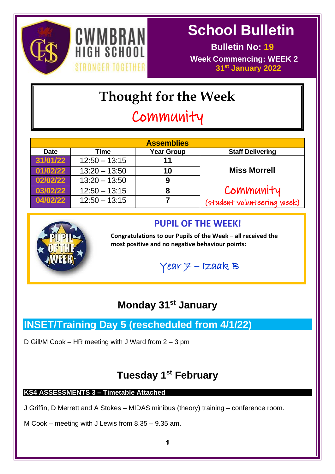



 **Bulletin No: 19 Week Commencing: WEEK 2 31st January 2022**

# **Thought for the Week**

# Community

|             |                 | <b>Assemblies</b> |                             |
|-------------|-----------------|-------------------|-----------------------------|
| <b>Date</b> | Time            | <b>Year Group</b> | <b>Staff Delivering</b>     |
| 31/01/22    | $12:50 - 13:15$ | 11                |                             |
| 01/02/22    | $13:20 - 13:50$ | 10                | <b>Miss Morrell</b>         |
| 02/02/22    | $13:20 - 13:50$ | 9                 |                             |
| 03/02/22    | $12:50 - 13:15$ | 8                 | Community                   |
| 04/02/22    | $12:50 - 13:15$ |                   | (student volunteering week) |



# **PUPIL OF THE WEEK!**

**Congratulations to our Pupils of the Week – all received the most positive and no negative behaviour points:**

 $Year$   $7$  – Izaak B

# **Monday 31st January**

# **INSET/Training Day 5 (rescheduled from 4/1/22)**

D Gill/M Cook – HR meeting with J Ward from 2 – 3 pm

# **Tuesday 1 st February**

## **KS4 ASSESSMENTS 3 – Timetable Attached**

J Griffin, D Merrett and A Stokes – MIDAS minibus (theory) training – conference room.

M Cook – meeting with J Lewis from 8.35 – 9.35 am.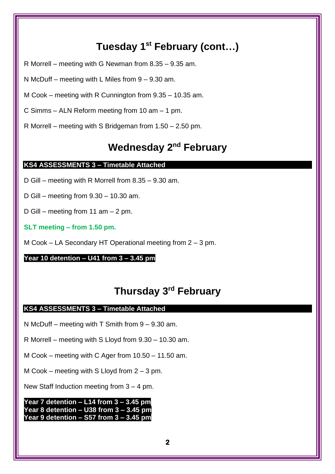# **Tuesday 1 st February (cont…)**

- R Morrell meeting with G Newman from 8.35 9.35 am.
- N McDuff meeting with L Miles from 9 9.30 am.
- M Cook meeting with R Cunnington from 9.35 10.35 am.
- C Simms ALN Reform meeting from 10 am 1 pm.
- R Morrell meeting with S Bridgeman from 1.50 2.50 pm.

# **Wednesday 2 nd February**

### **KS4 ASSESSMENTS 3 – Timetable Attached**

- D Gill meeting with R Morrell from 8.35 9.30 am.
- D Gill meeting from 9.30 10.30 am.
- D Gill meeting from 11 am 2 pm.
- **SLT meeting – from 1.50 pm.**
- M Cook LA Secondary HT Operational meeting from 2 3 pm.

### **Year 10 detention – U41 from 3 – 3.45 pm**

# **Thursday 3 rd February**

### **KS4 ASSESSMENTS 3 – Timetable Attached**

N McDuff – meeting with T Smith from 9 – 9.30 am.

R Morrell – meeting with S Lloyd from 9.30 – 10.30 am.

M Cook – meeting with C Ager from 10.50 – 11.50 am.

M Cook – meeting with S Lloyd from  $2 - 3$  pm.

New Staff Induction meeting from  $3 - 4$  pm.

**Year 7 detention – L14 from 3 – 3.45 pm Year 8 detention – U38 from 3 – 3.45 pm Year 9 detention – S57 from 3 – 3.45 pm**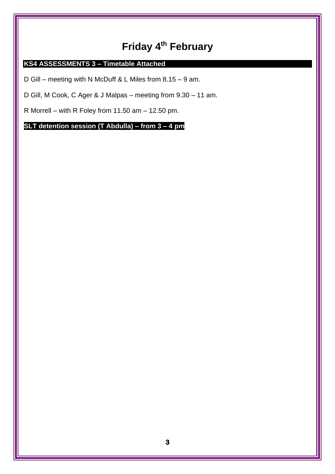# **Friday 4 th February**

### **KS4 ASSESSMENTS 3 – Timetable Attached**

D Gill – meeting with N McDuff & L Miles from 8.15 – 9 am.

D Gill, M Cook, C Ager & J Malpas – meeting from 9.30 – 11 am.

R Morrell – with R Foley from 11.50 am – 12.50 pm.

**SLT detention session (T Abdulla) – from 3 – 4 pm**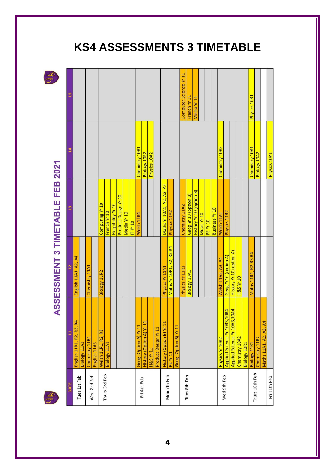# ASSESSMENT 3 TIMETABLE FEB 2021

35

| $\overline{5}$ |                          |              |                |              |                                   |               |                   |                      |             |                 |                       |                          |                      |                      |                           |                           |                       | Computer Science Yr 11 | French Yr 11          | Media Yr 11              |             |                 |                       |                       |                              |                              |                      |              | Physics 10R1           |                |                        |                     |
|----------------|--------------------------|--------------|----------------|--------------|-----------------------------------|---------------|-------------------|----------------------|-------------|-----------------|-----------------------|--------------------------|----------------------|----------------------|---------------------------|---------------------------|-----------------------|------------------------|-----------------------|--------------------------|-------------|-----------------|-----------------------|-----------------------|------------------------------|------------------------------|----------------------|--------------|------------------------|----------------|------------------------|---------------------|
| $\overline{a}$ |                          |              |                |              |                                   |               |                   |                      |             |                 | Chemistry 10R1        | Biology 10R2             | Physics 10A2         |                      |                           |                           |                       |                        |                       |                          |             |                 |                       | Chemistry 10R2        |                              |                              |                      |              | Chemistry 10A1         | Biology 10A2   |                        | <b>Physics 1041</b> |
| $\mathbf{r}$   |                          |              |                |              | Computing Yr 10                   | French Yr 10  | Hospitality Yr 10 | Product Design Yr 10 | Media Yr 10 | <b>IT Yr 10</b> | Welsh 11R4            |                          |                      |                      | Maths Yr 10A1, A2, A3, A4 | Physics 11A2              |                       | Chemistry 11A2         | Geog Yr 10 (option B) | History Yr 10 (option B) | Music Yr 10 | <b>PE Yr 10</b> | <b>Business Yr 10</b> | Welsh <sub>11A1</sub> | Physics 11R2                 |                              |                      |              |                        |                |                        |                     |
| $\overline{2}$ | English 11A1, A2, A4     |              | Chemistry 11A1 |              | Biology 11R2                      |               |                   |                      |             |                 |                       |                          |                      |                      | Physics Yr 11A1           | Maths Yr 10R1, R2, R3, R4 |                       | Physics Yr 11R1        | <b>Biology 10A1</b>   |                          |             |                 |                       | Welsh 11A2, A3, A4    | Geog Yr10 (option A)         | History Yr 10 (option A)     | <b>H&amp;S Yr 10</b> |              | Maths 11R1, R2, R3, R4 |                |                        |                     |
| E              | English 11R1, R2, R3, R4 | Biology 11A2 | Chemistry 11R1 | English 11A3 | R <sub>3</sub><br>Welsh 11R1, R2, | Biology 11A1  |                   |                      |             |                 | Geog (Option A) Yr 11 | History (Option A) Yr 11 | <b>H&amp;S Yr 11</b> | Product Design Yr 11 | History (Option B) Yr 11  | <b>PE Yr 11</b>           | Geog (Option B) Yr 11 |                        |                       |                          |             |                 |                       | Physics Yr 10R2       | Applied Science Yr 10R3,10R4 | Applied Science Yr 10A3,10A4 | Chemistry 10A2       | Biology 10R1 | Biology 11R1           | Chemistry 11R2 | Maths 11A1, A2, A3, A4 |                     |
| DATE           | Tues 1st Feb             |              |                | Wed 2nd Feb  |                                   | Thurs 3rd Feb |                   |                      |             |                 |                       | Fri 4th Feb              |                      |                      |                           | Mon 7th Feb               |                       |                        | Tues 8th Feb          |                          |             |                 |                       |                       | Wed 9th Feb                  |                              |                      |              |                        | Thurs 10th Feb |                        | Fri 11th Feh        |

# **KS4 ASSESSMENTS 3 TIMETABLE**

**4**